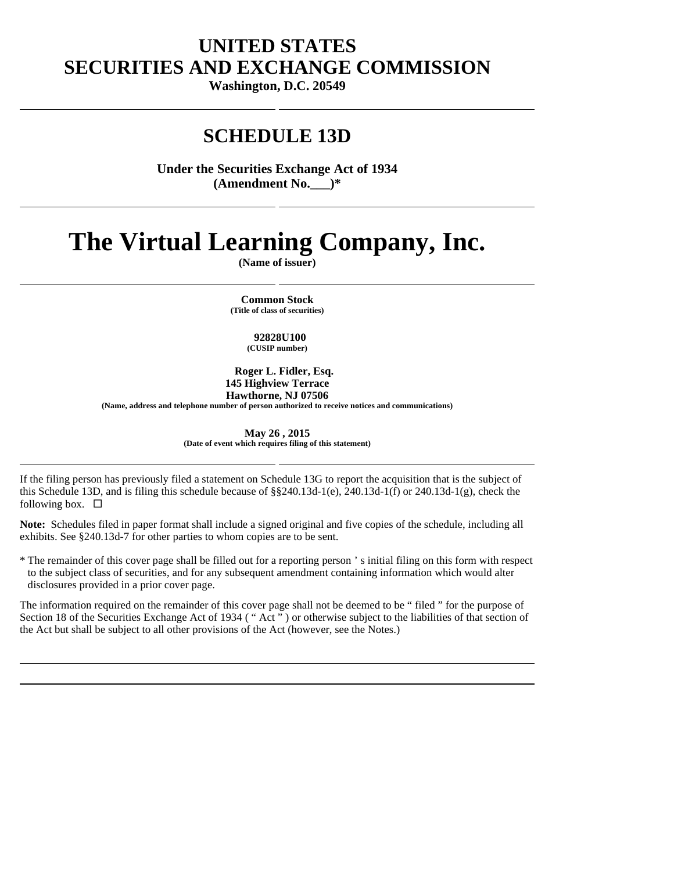# **UNITED STATES SECURITIES AND EXCHANGE COMMISSION**

**Washington, D.C. 20549** 

# **SCHEDULE 13D**

**Under the Securities Exchange Act of 1934 (Amendment No.\_\_\_)\*** 

# **The Virtual Learning Company, Inc.**

**(Name of issuer)** 

 **Common Stock (Title of class of securities)** 

## **92828U100**

**(CUSIP number)** 

 **Roger L. Fidler, Esq. 145 Highview Terrace Hawthorne, NJ 07506 (Name, address and telephone number of person authorized to receive notices and communications)** 

> **May 26 , 2015 (Date of event which requires filing of this statement)**

If the filing person has previously filed a statement on Schedule 13G to report the acquisition that is the subject of this Schedule 13D, and is filing this schedule because of §§240.13d-1(e), 240.13d-1(f) or 240.13d-1(g), check the following box.  $\Box$ 

**Note:** Schedules filed in paper format shall include a signed original and five copies of the schedule, including all exhibits. See §240.13d-7 for other parties to whom copies are to be sent.

\* The remainder of this cover page shall be filled out for a reporting person ' s initial filing on this form with respect to the subject class of securities, and for any subsequent amendment containing information which would alter disclosures provided in a prior cover page.

The information required on the remainder of this cover page shall not be deemed to be " filed " for the purpose of Section 18 of the Securities Exchange Act of 1934 ("Act") or otherwise subject to the liabilities of that section of the Act but shall be subject to all other provisions of the Act (however, see the Notes.)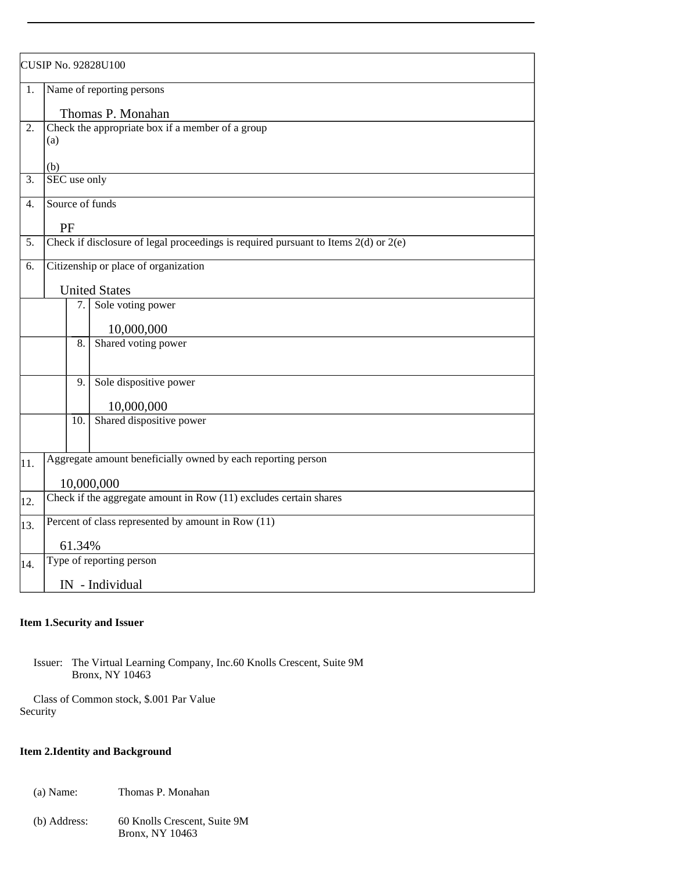| <b>CUSIP No. 92828U100</b> |                                                                                         |     |                          |
|----------------------------|-----------------------------------------------------------------------------------------|-----|--------------------------|
| 1.                         | Name of reporting persons                                                               |     |                          |
|                            | Thomas P. Monahan                                                                       |     |                          |
| 2.                         | Check the appropriate box if a member of a group<br>(a)<br>(b)                          |     |                          |
| 3.                         | SEC use only                                                                            |     |                          |
| 4.                         | Source of funds                                                                         |     |                          |
|                            | PF                                                                                      |     |                          |
| 5.                         | Check if disclosure of legal proceedings is required pursuant to Items $2(d)$ or $2(e)$ |     |                          |
| 6.                         | Citizenship or place of organization                                                    |     |                          |
|                            |                                                                                         |     |                          |
|                            | <b>United States</b>                                                                    |     |                          |
|                            |                                                                                         | 7.  | Sole voting power        |
|                            |                                                                                         |     | 10,000,000               |
|                            |                                                                                         | 8.  | Shared voting power      |
|                            |                                                                                         | 9.  | Sole dispositive power   |
|                            |                                                                                         |     | 10,000,000               |
|                            |                                                                                         | 10. | Shared dispositive power |
|                            |                                                                                         |     |                          |
| 11.                        | Aggregate amount beneficially owned by each reporting person                            |     |                          |
|                            |                                                                                         |     | 10,000,000               |
| 12.                        | Check if the aggregate amount in Row (11) excludes certain shares                       |     |                          |
| 13.                        | Percent of class represented by amount in Row (11)                                      |     |                          |
|                            | 61.34%                                                                                  |     |                          |
| 14.                        | Type of reporting person                                                                |     |                          |
|                            | IN - Individual                                                                         |     |                          |

#### **Item 1. Security and Issuer**

 Issuer: The Virtual Learning Company, Inc.60 Knolls Crescent, Suite 9M Bronx, NY 10463

 Class of Common stock, \$.001 Par Value Security

# **Item 2. Identity and Background**

- (a) Name: Thomas P. Monahan
- (b) Address: 60 Knolls Crescent, Suite 9M Bronx, NY 10463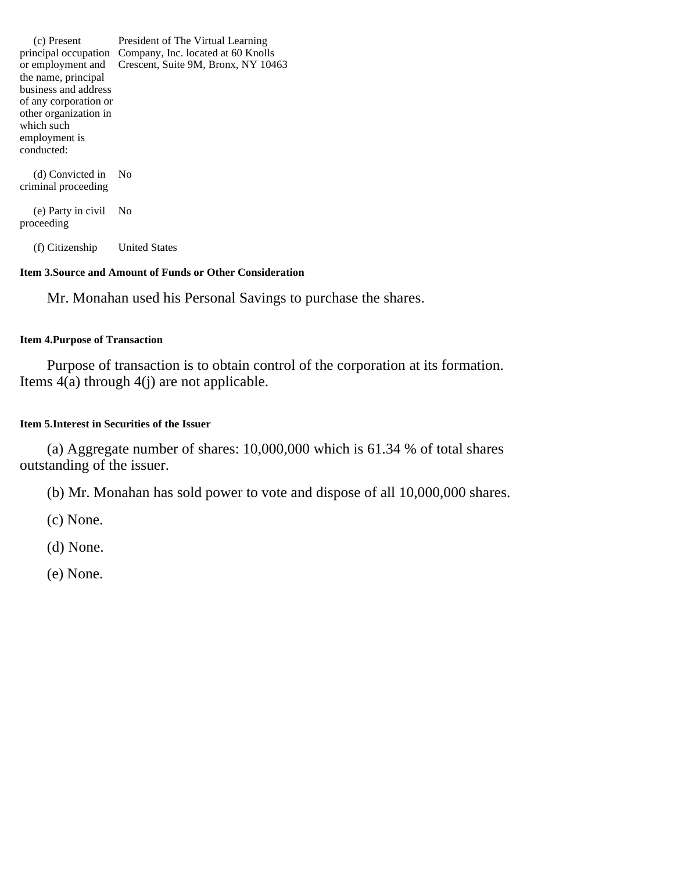(c) Present principal occupation Company, Inc. located at 60 Knolls or employment and the name, principal business and address of any corporation or other organization in which such employment is conducted: President of The Virtual Learning Crescent, Suite 9M, Bronx, NY 10463 (d) Convicted in No criminal proceeding

 (e) Party in civil No proceeding

(f) Citizenship United States

### **Item 3. Source and Amount of Funds or Other Consideration**

Mr. Monahan used his Personal Savings to purchase the shares.

### **Item 4. Purpose of Transaction**

Purpose of transaction is to obtain control of the corporation at its formation. Items 4(a) through 4(j) are not applicable.

## **Item 5. Interest in Securities of the Issuer**

(a) Aggregate number of shares: 10,000,000 which is 61.34 % of total shares outstanding of the issuer.

(b) Mr. Monahan has sold power to vote and dispose of all 10,000,000 shares.

(c) None.

(d) None.

(e) None.